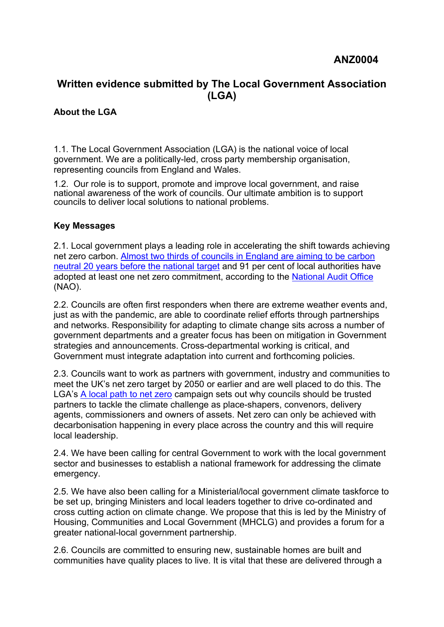## **Written evidence submitted by The Local Government Association (LGA)**

## **About the LGA**

1.1. The Local Government Association (LGA) is the national voice of local government. We are a politically-led, cross party membership organisation, representing councils from England and Wales.

1.2. Our role is to support, promote and improve local government, and raise national awareness of the work of councils. Our ultimate ambition is to support councils to deliver local solutions to national problems.

## **Key Messages**

2.1. Local government plays a leading role in [accelerating](https://www.adeptnet.org.uk/system/files/documents/Coalition%20Climate%20Asks%20Doc%20June%202020.pdf) [the](https://www.adeptnet.org.uk/system/files/documents/Coalition%20Climate%20Asks%20Doc%20June%202020.pdf) [shift](https://www.adeptnet.org.uk/system/files/documents/Coalition%20Climate%20Asks%20Doc%20June%202020.pdf) towards achieving net zero carbon. [Almost](https://www.local.gov.uk/publications/re-thinking-public-finances#environment-and-climate-change) [two](https://www.local.gov.uk/publications/re-thinking-public-finances#environment-and-climate-change) [thirds](https://www.local.gov.uk/publications/re-thinking-public-finances#environment-and-climate-change) [of](https://www.local.gov.uk/publications/re-thinking-public-finances#environment-and-climate-change) [councils](https://www.local.gov.uk/publications/re-thinking-public-finances#environment-and-climate-change) [in](https://www.local.gov.uk/publications/re-thinking-public-finances#environment-and-climate-change) [England](https://www.local.gov.uk/publications/re-thinking-public-finances#environment-and-climate-change) [are](https://www.local.gov.uk/publications/re-thinking-public-finances#environment-and-climate-change) [aiming](https://www.local.gov.uk/publications/re-thinking-public-finances#environment-and-climate-change) [to](https://www.local.gov.uk/publications/re-thinking-public-finances#environment-and-climate-change) [be](https://www.local.gov.uk/publications/re-thinking-public-finances#environment-and-climate-change) [carbon](https://www.local.gov.uk/publications/re-thinking-public-finances#environment-and-climate-change) [neutral](https://www.local.gov.uk/publications/re-thinking-public-finances#environment-and-climate-change) [20](https://www.local.gov.uk/publications/re-thinking-public-finances#environment-and-climate-change) [years](https://www.local.gov.uk/publications/re-thinking-public-finances#environment-and-climate-change) [before](https://www.local.gov.uk/publications/re-thinking-public-finances#environment-and-climate-change) [the](https://www.local.gov.uk/publications/re-thinking-public-finances#environment-and-climate-change) [national](https://www.local.gov.uk/publications/re-thinking-public-finances#environment-and-climate-change) [target](https://www.local.gov.uk/publications/re-thinking-public-finances#environment-and-climate-change) and 91 per cent of local authorities have adopted at least one net zero commitment, according to the [National](https://www.nao.org.uk/report/local-government-and-net-zero-in-england/) [Audit](https://www.nao.org.uk/report/local-government-and-net-zero-in-england/) [Office](https://www.nao.org.uk/report/local-government-and-net-zero-in-england/) (NAO).

2.2. Councils are often first responders when there are extreme weather events and, just as with the pandemic, are able to coordinate relief efforts through partnerships and networks. Responsibility for adapting to climate change sits across a number of government departments and a greater focus has been on mitigation in Government strategies and announcements. Cross-departmental working is critical, and Government must integrate adaptation into current and forthcoming policies.

2.3. Councils want to work as partners with government, industry and communities to m[e](https://www.local.gov.uk/net-zero)et the UK'[s](https://www.local.gov.uk/net-zero) net [z](https://www.local.gov.uk/net-zero)e[r](https://www.local.gov.uk/net-zero)o target by 2050 or earlier and are well placed to do this. The LGA's [A](https://www.local.gov.uk/net-zero) [local](https://www.local.gov.uk/net-zero) [path](https://www.local.gov.uk/net-zero) [to](https://www.local.gov.uk/net-zero) [net](https://www.local.gov.uk/net-zero) [zero](https://www.local.gov.uk/net-zero) campaign sets out why councils should be trusted partners to tackle the climate challenge as place-shapers, convenors, delivery agents, commissioners and owners of assets. Net zero can only be achieved with decarbonisation happening in every place across the country and this will require local leadership.

2.4. We have been calling for central Government to work with the local government sector and businesses to establish a national framework for addressing the climate emergency.

2.5. We have also been calling for a Ministerial/local government climate taskforce to be set up, bringing Ministers and local leaders together to drive co-ordinated and cross cutting action on climate change. We propose that this is led by the Ministry of Housing, Communities and Local Government (MHCLG) and provides a forum for a greater national-local government partnership.

2.6. Councils are committed to ensuring new, sustainable homes are built and communities have quality places to live. It is vital that these are delivered through a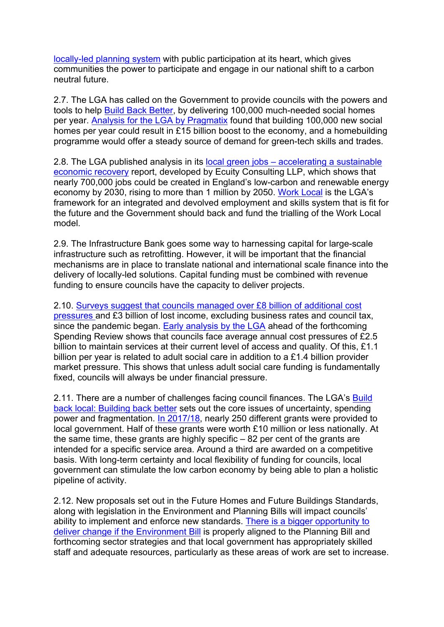[locally-led](https://www.local.gov.uk/keep-planning-local) [planning](https://www.local.gov.uk/keep-planning-local) [system](https://www.local.gov.uk/keep-planning-local) with public participation at its heart, which gives communities the power to participate and engage in our national shift to a carbon neutral future.

2.7. The LGA has called on the Government to provide councils with the powers and tools to help **[Build](https://www.local.gov.uk/publications/build-back-local-building-back-better) [Back](https://www.local.gov.uk/publications/build-back-local-building-back-better) [Better](https://www.local.gov.uk/publications/build-back-local-building-back-better)**, by delivering 100,000 much-needed social homes per year. [Analysis](https://local.gov.uk/topics/housing-and-planning/building-post-pandemic-prosperity) [for](https://local.gov.uk/topics/housing-and-planning/building-post-pandemic-prosperity) [the](https://local.gov.uk/topics/housing-and-planning/building-post-pandemic-prosperity) [LGA](https://local.gov.uk/topics/housing-and-planning/building-post-pandemic-prosperity) [by](https://local.gov.uk/topics/housing-and-planning/building-post-pandemic-prosperity) [Pragmatix](https://local.gov.uk/topics/housing-and-planning/building-post-pandemic-prosperity) found that building 100,000 new social homes per year could result in £15 billion boost to the economy, and a homebuilding programme would offer a steady source of demand for green-tech skills and trades.

2.8. The LGA published analysis in its [local](https://www.local.gov.uk/local-green-jobs-accelerating-sustainable-economic-recovery) [green](https://www.local.gov.uk/local-green-jobs-accelerating-sustainable-economic-recovery) [jobs](https://www.local.gov.uk/local-green-jobs-accelerating-sustainable-economic-recovery) [–](https://www.local.gov.uk/local-green-jobs-accelerating-sustainable-economic-recovery) [accelerating](https://www.local.gov.uk/local-green-jobs-accelerating-sustainable-economic-recovery) [a](https://www.local.gov.uk/local-green-jobs-accelerating-sustainable-economic-recovery) [sustainable](https://www.local.gov.uk/local-green-jobs-accelerating-sustainable-economic-recovery) [economic](https://www.local.gov.uk/local-green-jobs-accelerating-sustainable-economic-recovery) [recovery](https://www.local.gov.uk/local-green-jobs-accelerating-sustainable-economic-recovery) report, developed by Ecuity Consulting LLP, which shows that nearly 700,000 jobs could be created in England's low-carbon [a](https://www.local.gov.uk/work-local-making-our-vision-reality)nd renewable energy economy by 2030, rising to more than 1 million by 2050. [Work](https://www.local.gov.uk/work-local-making-our-vision-reality) [Local](https://www.local.gov.uk/work-local-making-our-vision-reality) is the LGA's framework for an integrated and devolved employment and skills system that is fit for the future and the Government should back and fund the trialling of the Work Local model.

2.9. The Infrastructure Bank goes some way to harnessing capital for large-scale infrastructure such as retrofitting. However, it will be important that the financial mechanisms are in place to translate national and international scale finance into the delivery of locally-led solutions. Capital funding must be combined with revenue funding to ensure councils have the capacity to deliver projects.

2.10. [Surveys](https://www.gov.uk/government/publications/local-authority-covid-19-financial-impact-monitoring-information) [suggest](https://www.gov.uk/government/publications/local-authority-covid-19-financial-impact-monitoring-information) [that](https://www.gov.uk/government/publications/local-authority-covid-19-financial-impact-monitoring-information) [councils](https://www.gov.uk/government/publications/local-authority-covid-19-financial-impact-monitoring-information) [managed](https://www.gov.uk/government/publications/local-authority-covid-19-financial-impact-monitoring-information) [over](https://www.gov.uk/government/publications/local-authority-covid-19-financial-impact-monitoring-information) [£8](https://www.gov.uk/government/publications/local-authority-covid-19-financial-impact-monitoring-information) [billion](https://www.gov.uk/government/publications/local-authority-covid-19-financial-impact-monitoring-information) [of](https://www.gov.uk/government/publications/local-authority-covid-19-financial-impact-monitoring-information) [additional](https://www.gov.uk/government/publications/local-authority-covid-19-financial-impact-monitoring-information) [cost](https://www.gov.uk/government/publications/local-authority-covid-19-financial-impact-monitoring-information) [pressures](https://www.gov.uk/government/publications/local-authority-covid-19-financial-impact-monitoring-information) and £3 billion of lost income, excluding business rates and council tax, since the pandemic began. [Early](https://www.local.gov.uk/publications/build-back-local-building-back-better#introduction) [analysis](https://www.local.gov.uk/publications/build-back-local-building-back-better#introduction) [by](https://www.local.gov.uk/publications/build-back-local-building-back-better#introduction) [the](https://www.local.gov.uk/publications/build-back-local-building-back-better#introduction) [LGA](https://www.local.gov.uk/publications/build-back-local-building-back-better#introduction) ahead of the forthcoming Spending Review shows that councils face average annual cost pressures of £2.5 billion to maintain services at their current level of access and quality. Of this, £1.1 billion per year is related to adult social care in addition to a £1.4 billion provider market pressure. This shows that unless adult social care funding is fundamentally fixed, councils will always be under financial pressure.

2.11. There are a number of challenges facing council finances. The LGA's [Build](https://www.local.gov.uk/publications/build-back-local-building-back-better) [back](https://www.local.gov.uk/publications/build-back-local-building-back-better) [local:](https://www.local.gov.uk/publications/build-back-local-building-back-better) [Building](https://www.local.gov.uk/publications/build-back-local-building-back-better) [back](https://www.local.gov.uk/publications/build-back-local-building-back-better) [better](https://www.local.gov.uk/publications/build-back-local-building-back-better) sets out the core issues of uncertainty, spending power and fragmentation. [In](https://www.local.gov.uk/publications/build-back-local-building-back-better#council-finance) [2017/18](https://www.local.gov.uk/publications/build-back-local-building-back-better#council-finance), nearly 250 different grants were provided to local government. Half of these grants were worth £10 million or less nationally. At the same time, these grants are highly specific – 82 per cent of the grants are intended for a specific service area. Around a third are awarded on a competitive basis. With long-term certainty and local flexibility of funding for councils, local government can stimulate the low carbon economy by being able to plan a holistic pipeline of activity.

2.12. New proposals set out in the Future Homes and Future Buildings Standards, along with legislation in the Environment and Planning Bills will impact councils' ability to implement and enforce new standards. [There](https://www.local.gov.uk/parliament/briefings-and-responses/environment-bill-committee-stage-house-lords-5-july-2021) [is](https://www.local.gov.uk/parliament/briefings-and-responses/environment-bill-committee-stage-house-lords-5-july-2021) [a](https://www.local.gov.uk/parliament/briefings-and-responses/environment-bill-committee-stage-house-lords-5-july-2021) [bigger](https://www.local.gov.uk/parliament/briefings-and-responses/environment-bill-committee-stage-house-lords-5-july-2021) [opportunity](https://www.local.gov.uk/parliament/briefings-and-responses/environment-bill-committee-stage-house-lords-5-july-2021) [to](https://www.local.gov.uk/parliament/briefings-and-responses/environment-bill-committee-stage-house-lords-5-july-2021) [deliver](https://www.local.gov.uk/parliament/briefings-and-responses/environment-bill-committee-stage-house-lords-5-july-2021) [change](https://www.local.gov.uk/parliament/briefings-and-responses/environment-bill-committee-stage-house-lords-5-july-2021) [if](https://www.local.gov.uk/parliament/briefings-and-responses/environment-bill-committee-stage-house-lords-5-july-2021) [the](https://www.local.gov.uk/parliament/briefings-and-responses/environment-bill-committee-stage-house-lords-5-july-2021) [Environment](https://www.local.gov.uk/parliament/briefings-and-responses/environment-bill-committee-stage-house-lords-5-july-2021) [Bill](https://www.local.gov.uk/parliament/briefings-and-responses/environment-bill-committee-stage-house-lords-5-july-2021) is properly aligned to the Planning Bill and forthcoming sector strategies and that local government has appropriately skilled staff and adequate resources, particularly as these areas of work are set to increase.